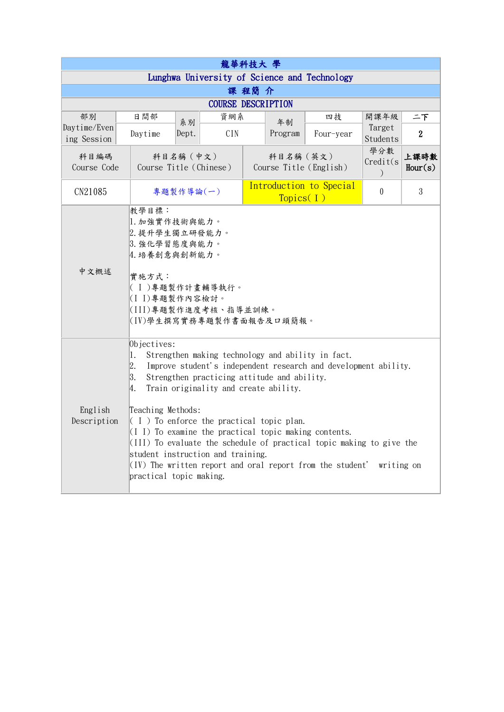| 龍華科技大 學                     |                                                                                                                                                                                                                                                                                                                                                                                                                                                                                                                                                                                                            |                                                                                                                                                                |     |                                      |                                     |                                              |                                   |                 |  |  |
|-----------------------------|------------------------------------------------------------------------------------------------------------------------------------------------------------------------------------------------------------------------------------------------------------------------------------------------------------------------------------------------------------------------------------------------------------------------------------------------------------------------------------------------------------------------------------------------------------------------------------------------------------|----------------------------------------------------------------------------------------------------------------------------------------------------------------|-----|--------------------------------------|-------------------------------------|----------------------------------------------|-----------------------------------|-----------------|--|--|
|                             |                                                                                                                                                                                                                                                                                                                                                                                                                                                                                                                                                                                                            |                                                                                                                                                                |     |                                      |                                     | Lunghwa University of Science and Technology |                                   |                 |  |  |
| 課程簡介                        |                                                                                                                                                                                                                                                                                                                                                                                                                                                                                                                                                                                                            |                                                                                                                                                                |     |                                      |                                     |                                              |                                   |                 |  |  |
| <b>COURSE DESCRIPTION</b>   |                                                                                                                                                                                                                                                                                                                                                                                                                                                                                                                                                                                                            |                                                                                                                                                                |     |                                      |                                     |                                              |                                   |                 |  |  |
| 部別                          | 日間部                                                                                                                                                                                                                                                                                                                                                                                                                                                                                                                                                                                                        | 系別                                                                                                                                                             |     | 資網系                                  | 年制                                  | 四技                                           | 開課年級                              | 二下              |  |  |
| Daytime/Even<br>ing Session | Daytime                                                                                                                                                                                                                                                                                                                                                                                                                                                                                                                                                                                                    | Dept.                                                                                                                                                          | CIN |                                      | Program                             | Four-year                                    | Target<br>Students                | $\overline{2}$  |  |  |
| 科目編碼<br>Course Code         |                                                                                                                                                                                                                                                                                                                                                                                                                                                                                                                                                                                                            | 科目名稱 (中文)<br>Course Title (Chinese)                                                                                                                            |     |                                      | 科目名稱 (英文)<br>Course Title (English) |                                              | 學分數<br>Credit(s)<br>$\mathcal{C}$ | 上課時數<br>Hour(s) |  |  |
| CN21085                     |                                                                                                                                                                                                                                                                                                                                                                                                                                                                                                                                                                                                            | 專題製作導論(一)                                                                                                                                                      |     | Introduction to Special<br>Topics(I) |                                     | $\theta$                                     | 3                                 |                 |  |  |
| 中文概述                        | 教學目標:<br>實施方式:                                                                                                                                                                                                                                                                                                                                                                                                                                                                                                                                                                                             | 1. 加強實作技術與能力。<br>2. 提升學生獨立研發能力。<br>3. 強化學習態度與能力。<br>4. 培養創意與創新能力。<br> ( I )專題製作計畫輔導執行。<br>(I I)專題製作內容檢討。<br> (III)專題製作進度考核、指導並訓練。<br> (IV)學生撰寫實務專題製作書面報告及口頭簡報。 |     |                                      |                                     |                                              |                                   |                 |  |  |
| English<br>Description      | Objectives:<br>Strengthen making technology and ability in fact.<br>11.<br>2.<br>Improve student's independent research and development ability.<br> 3.<br>Strengthen practicing attitude and ability.<br>Train originality and create ability.<br>4.<br>Teaching Methods:<br>$(1)$ To enforce the practical topic plan.<br>$(I I)$ To examine the practical topic making contents.<br>$(III)$ To evaluate the schedule of practical topic making to give the<br>student instruction and training.<br>$(IV)$ The written report and oral report from the student'<br>writing on<br>practical topic making. |                                                                                                                                                                |     |                                      |                                     |                                              |                                   |                 |  |  |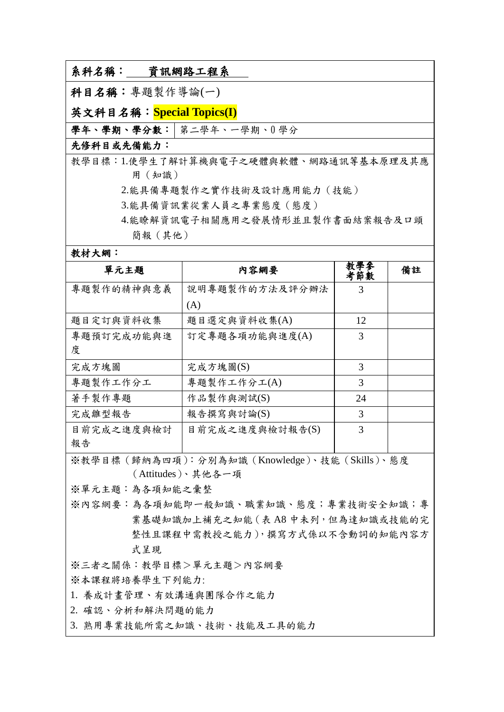| 系科名稱:<br>資訊網路工程系         |  |  |  |  |
|--------------------------|--|--|--|--|
| 科目名稱:專題製作導論(一)           |  |  |  |  |
| 英文科目名稱:Special Topics(I) |  |  |  |  |
| 學年、學期、學分數: 第二學年、一學期、0學分  |  |  |  |  |

## 先修科目或先備能力:

教學目標:1.使學生了解計算機與電子之硬體與軟體、網路通訊等基本原理及其應 用(知識)

2.能具備專題製作之實作技術及設計應用能力(技能)

3.能具備資訊業從業人員之專業態度(態度)

4.能瞭解資訊電子相關應用之發展情形並且製作書面結案報告及口頭 簡報(其他)

教材大網:

| 單元主題       | 内容網要            | 教學麥<br>考節數 | 備註 |  |  |  |
|------------|-----------------|------------|----|--|--|--|
| 專題製作的精神與意義 | 說明專題製作的方法及評分辦法  | 3          |    |  |  |  |
|            | (A)             |            |    |  |  |  |
| 題目定訂與資料收集  | 題目選定與資料收集(A)    | 12         |    |  |  |  |
| 專題預訂完成功能與進 | 訂定專題各項功能與進度(A)  | 3          |    |  |  |  |
| 度          |                 |            |    |  |  |  |
| 完成方塊圖      | 完成方塊圖(S)        | 3          |    |  |  |  |
| 專題製作工作分工   | 專題製作工作分工(A)     | 3          |    |  |  |  |
| 著手製作專題     | 作品製作與測試(S)      | 24         |    |  |  |  |
| 完成雛型報告     | 報告撰寫與討論(S)      | 3          |    |  |  |  |
| 目前完成之進度與檢討 | 目前完成之進度與檢討報告(S) | 3          |    |  |  |  |
| 報告         |                 |            |    |  |  |  |

※教學目標(歸納為四項):分別為知識(Knowledge)、技能(Skills)、態度 (Attitudes)、其他各一項

※單元主題:為各項知能之彙整

※內容網要:為各項知能即一般知識、職業知識、態度;專業技術安全知識;專 業基礎知識加上補充之知能 (表 A8 中未列, 但為達知識或技能的完 整性且課程中需教授之能力),撰寫方式係以不含動詞的知能內容方 式呈現

※三者之關係:教學目標>單元主題>內容網要

※本課程將培養學生下列能力:

1. 養成計畫管理、有效溝通與團隊合作之能力

2. 確認、分析和解決問題的能力

3. 熟用專業技能所需之知識、技術、技能及工具的能力